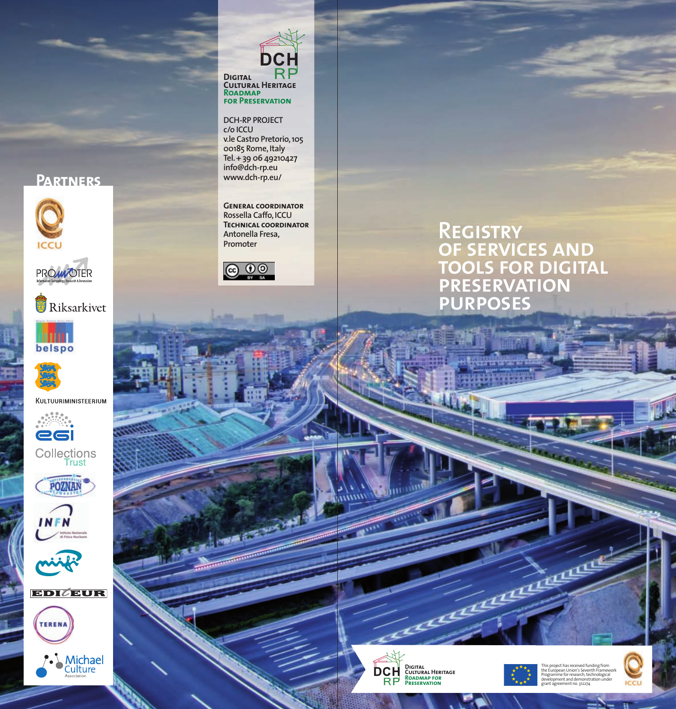## **Partners**











KULTUURIMINISTEERIUM



Collections<br>Trust













DC **Digital Cultural Heritage Roadmap for Preservation**

## **DCH-RP PROJECT**

**c/o ICCU v.le Castro Pretorio,105 00185 Rome,Italy Tel.+ 39 06 49210427 info@dch-rp.eu www.dch-rp.eu/**

**General coordinator Rossella Caffo,ICCU Technical coordinator Antonella Fresa, Promoter**



## **Registry of services and tools for digital preservation purposes**



*munu* 



This project has received funding from<br>the European Union's Seventh Framework<br>Programme for research, technological<br>development and demonstration under<br>grant agreement no. 312274